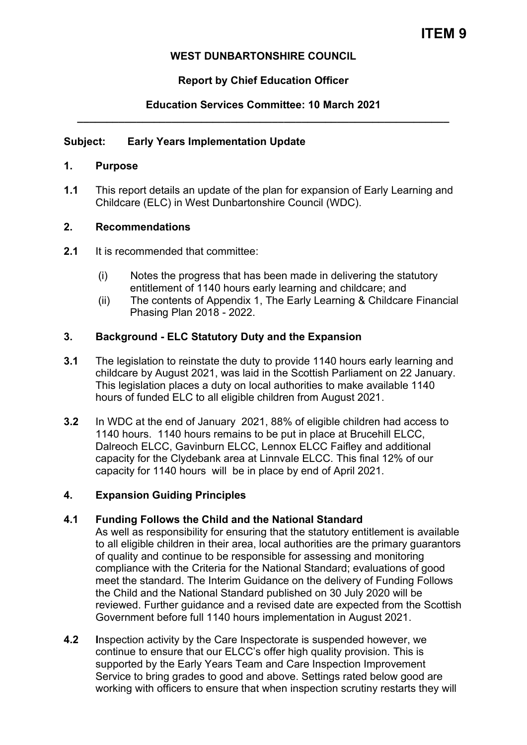## **WEST DUNBARTONSHIRE COUNCIL**

# **Report by Chief Education Officer**

## **Education Services Committee: 10 March 2021 \_\_\_\_\_\_\_\_\_\_\_\_\_\_\_\_\_\_\_\_\_\_\_\_\_\_\_\_\_\_\_\_\_\_\_\_\_\_\_\_\_\_\_\_\_\_\_\_\_\_\_\_\_\_\_\_\_\_\_\_\_\_\_**

## **Subject: Early Years Implementation Update**

### **1. Purpose**

**1.1** This report details an update of the plan for expansion of Early Learning and Childcare (ELC) in West Dunbartonshire Council (WDC).

## **2. Recommendations**

- **2.1** It is recommended that committee:
	- (i) Notes the progress that has been made in delivering the statutory entitlement of 1140 hours early learning and childcare; and
	- (ii) The contents of Appendix 1, The Early Learning & Childcare Financial Phasing Plan 2018 - 2022.

## **3. Background - ELC Statutory Duty and the Expansion**

- **3.1** The legislation to reinstate the duty to provide 1140 hours early learning and childcare by August 2021, was laid in the Scottish Parliament on 22 January. This legislation places a duty on local authorities to make available 1140 hours of funded ELC to all eligible children from August 2021.
- **3.2** In WDC at the end of January 2021, 88% of eligible children had access to 1140 hours. 1140 hours remains to be put in place at Brucehill ELCC, Dalreoch ELCC, Gavinburn ELCC, Lennox ELCC Faifley and additional capacity for the Clydebank area at Linnvale ELCC. This final 12% of our capacity for 1140 hours will be in place by end of April 2021.

### **4. Expansion Guiding Principles**

### **4.1 Funding Follows the Child and the National Standard**

As well as responsibility for ensuring that the statutory entitlement is available to all eligible children in their area, local authorities are the primary guarantors of quality and continue to be responsible for assessing and monitoring compliance with the Criteria for the National Standard; evaluations of good meet the standard. The Interim Guidance on the delivery of Funding Follows the Child and the National Standard published on 30 July 2020 will be reviewed. Further guidance and a revised date are expected from the Scottish Government before full 1140 hours implementation in August 2021.

**4.2 I**nspection activity by the Care Inspectorate is suspended however, we continue to ensure that our ELCC's offer high quality provision. This is supported by the Early Years Team and Care Inspection Improvement Service to bring grades to good and above. Settings rated below good are working with officers to ensure that when inspection scrutiny restarts they will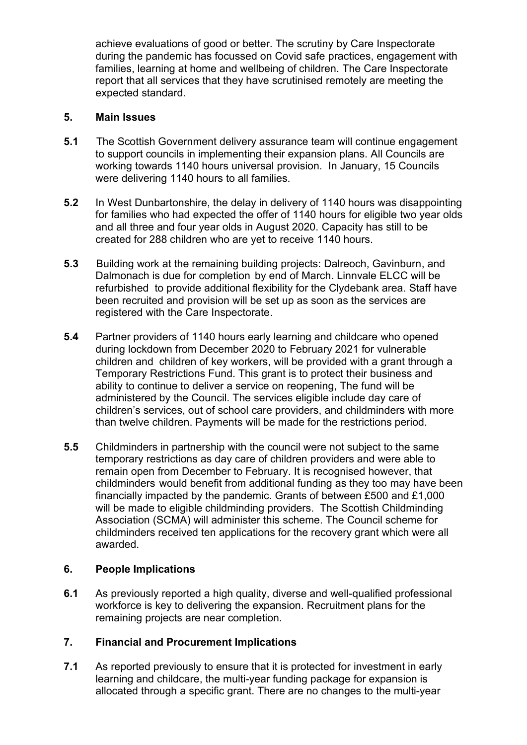achieve evaluations of good or better. The scrutiny by Care Inspectorate during the pandemic has focussed on Covid safe practices, engagement with families, learning at home and wellbeing of children. The Care Inspectorate report that all services that they have scrutinised remotely are meeting the expected standard.

## **5. Main Issues**

- **5.1** The Scottish Government delivery assurance team will continue engagement to support councils in implementing their expansion plans. All Councils are working towards 1140 hours universal provision. In January, 15 Councils were delivering 1140 hours to all families.
- **5.2** In West Dunbartonshire, the delay in delivery of 1140 hours was disappointing for families who had expected the offer of 1140 hours for eligible two year olds and all three and four year olds in August 2020. Capacity has still to be created for 288 children who are yet to receive 1140 hours.
- **5.3** Building work at the remaining building projects: Dalreoch, Gavinburn, and Dalmonach is due for completion by end of March. Linnvale ELCC will be refurbished to provide additional flexibility for the Clydebank area. Staff have been recruited and provision will be set up as soon as the services are registered with the Care Inspectorate.
- **5.4** Partner providers of 1140 hours early learning and childcare who opened during lockdown from December 2020 to February 2021 for vulnerable children and children of key workers, will be provided with a grant through a Temporary Restrictions Fund. This grant is to protect their business and ability to continue to deliver a service on reopening, The fund will be administered by the Council. The services eligible include day care of children's services, out of school care providers, and childminders with more than twelve children. Payments will be made for the restrictions period.
- **5.5** Childminders in partnership with the council were not subject to the same temporary restrictions as day care of children providers and were able to remain open from December to February. It is recognised however, that childminders would benefit from additional funding as they too may have been financially impacted by the pandemic. Grants of between £500 and £1,000 will be made to eligible childminding providers. The Scottish Childminding Association (SCMA) will administer this scheme. The Council scheme for childminders received ten applications for the recovery grant which were all awarded.

## **6. People Implications**

**6.1** As previously reported a high quality, diverse and well-qualified professional workforce is key to delivering the expansion. Recruitment plans for the remaining projects are near completion.

## **7. Financial and Procurement Implications**

**7.1** As reported previously to ensure that it is protected for investment in early learning and childcare, the multi-year funding package for expansion is allocated through a specific grant. There are no changes to the multi-year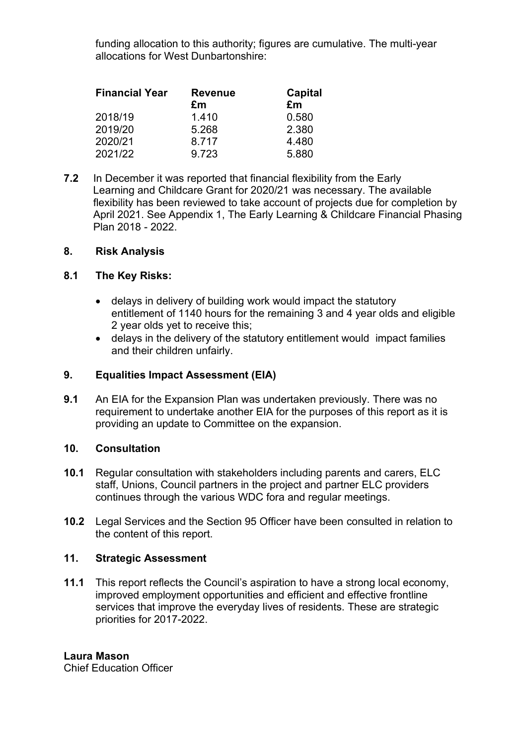funding allocation to this authority; figures are cumulative. The multi-year allocations for West Dunbartonshire:

| <b>Financial Year</b> | <b>Revenue</b> | <b>Capital</b> |
|-----------------------|----------------|----------------|
|                       | £m             | £m             |
| 2018/19               | 1.410          | 0.580          |
| 2019/20               | 5.268          | 2.380          |
| 2020/21               | 8.717          | 4.480          |
| 2021/22               | 9.723          | 5.880          |

**7.2** In December it was reported that financial flexibility from the Early Learning and Childcare Grant for 2020/21 was necessary. The available flexibility has been reviewed to take account of projects due for completion by April 2021. See Appendix 1, The Early Learning & Childcare Financial Phasing Plan 2018 - 2022.

### **8. Risk Analysis**

#### **8.1 The Key Risks:**

- delays in delivery of building work would impact the statutory entitlement of 1140 hours for the remaining 3 and 4 year olds and eligible 2 year olds yet to receive this;
- delays in the delivery of the statutory entitlement would impact families and their children unfairly.

### **9. Equalities Impact Assessment (EIA)**

**9.1** An EIA for the Expansion Plan was undertaken previously. There was no requirement to undertake another EIA for the purposes of this report as it is providing an update to Committee on the expansion.

#### **10. Consultation**

- **10.1** Regular consultation with stakeholders including parents and carers, ELC staff, Unions, Council partners in the project and partner ELC providers continues through the various WDC fora and regular meetings.
- **10.2** Legal Services and the Section 95 Officer have been consulted in relation to the content of this report.

### **11. Strategic Assessment**

**11.1** This report reflects the Council's aspiration to have a strong local economy, improved employment opportunities and efficient and effective frontline services that improve the everyday lives of residents. These are strategic priorities for 2017-2022.

**Laura Mason**  Chief Education Officer